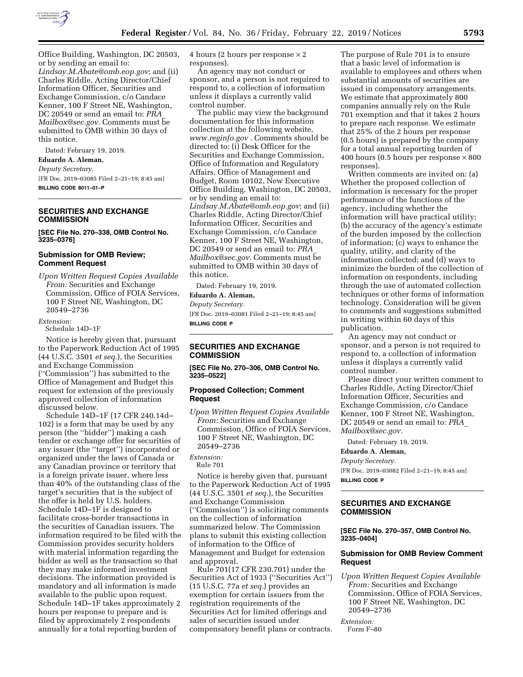

Office Building, Washington, DC 20503, or by sending an email to: *[Lindsay.M.Abate@omb.eop.gov](mailto:Lindsay.M.Abate@omb.eop.gov)*; and (ii) Charles Riddle, Acting Director/Chief Information Officer, Securities and Exchange Commission, c/o Candace Kenner, 100 F Street NE, Washington, DC 20549 or send an email to: *[PRA](mailto:PRA_Mailbox@sec.gov)*\_ *[Mailbox@sec.gov.](mailto:PRA_Mailbox@sec.gov)* Comments must be submitted to OMB within 30 days of this notice.

Dated: February 19, 2019.

## **Eduardo A. Aleman,**

*Deputy Secretary.* 

[FR Doc. 2019–03085 Filed 2–21–19; 8:45 am] **BILLING CODE 8011–01–P** 

## **SECURITIES AND EXCHANGE COMMISSION**

**[SEC File No. 270–338, OMB Control No. 3235–0376]** 

### **Submission for OMB Review; Comment Request**

*Upon Written Request Copies Available From:* Securities and Exchange Commission, Office of FOIA Services, 100 F Street NE, Washington, DC 20549–2736

#### *Extension:*

Schedule 14D–1F

Notice is hereby given that, pursuant to the Paperwork Reduction Act of 1995 (44 U.S.C. 3501 *et seq.*), the Securities and Exchange Commission (''Commission'') has submitted to the Office of Management and Budget this request for extension of the previously approved collection of information discussed below.

Schedule 14D–1F (17 CFR 240.14d– 102) is a form that may be used by any person (the ''bidder'') making a cash tender or exchange offer for securities of any issuer (the ''target'') incorporated or organized under the laws of Canada or any Canadian province or territory that is a foreign private issuer, where less than 40% of the outstanding class of the target's securities that is the subject of the offer is held by U.S. holders. Schedule 14D–1F is designed to facilitate cross-border transactions in the securities of Canadian issuers. The information required to be filed with the Commission provides security holders with material information regarding the bidder as well as the transaction so that they may make informed investment decisions. The information provided is mandatory and all information is made available to the public upon request. Schedule 14D–1F takes approximately 2 hours per response to prepare and is filed by approximately 2 respondents annually for a total reporting burden of

4 hours (2 hours per response × 2 responses).

An agency may not conduct or sponsor, and a person is not required to respond to, a collection of information unless it displays a currently valid control number.

The public may view the background documentation for this information collection at the following website, *[www.reginfo.gov](http://www.reginfo.gov)* . Comments should be directed to: (i) Desk Officer for the Securities and Exchange Commission, Office of Information and Regulatory Affairs, Office of Management and Budget, Room 10102, New Executive Office Building, Washington, DC 20503, or by sending an email to: *[Lindsay.M.Abate@omb.eop.gov](mailto:Lindsay.M.Abate@omb.eop.gov)*; and (ii) Charles Riddle, Acting Director/Chief Information Officer, Securities and Exchange Commission, c/o Candace Kenner, 100 F Street NE, Washington, DC 20549 or send an email to: *[PRA](mailto:PRA_Mailbox@sec.gov)*\_ *[Mailbox@sec.gov](mailto:PRA_Mailbox@sec.gov)*. Comments must be submitted to OMB within 30 days of this notice.

Dated: February 19, 2019.

# **Eduardo A. Aleman,**

*Deputy Secretary.*  [FR Doc. 2019–03081 Filed 2–21–19; 8:45 am] **BILLING CODE P** 

### **SECURITIES AND EXCHANGE COMMISSION**

**[SEC File No. 270–306, OMB Control No. 3235–0522]** 

### **Proposed Collection; Comment Request**

*Upon Written Request Copies Available From:* Securities and Exchange Commission, Office of FOIA Services, 100 F Street NE, Washington, DC 20549–2736

## *Extension:*

Rule 701

Notice is hereby given that, pursuant to the Paperwork Reduction Act of 1995 (44 U.S.C. 3501 *et seq.*), the Securities and Exchange Commission (''Commission'') is soliciting comments on the collection of information summarized below. The Commission plans to submit this existing collection of information to the Office of Management and Budget for extension and approval.

Rule 701(17 CFR 230.701) under the Securities Act of 1933 (''Securities Act'') (15 U.S.C. 77a *et seq.*) provides an exemption for certain issuers from the registration requirements of the Securities Act for limited offerings and sales of securities issued under compensatory benefit plans or contracts.

The purpose of Rule 701 is to ensure that a basic level of information is available to employees and others when substantial amounts of securities are issued in compensatory arrangements. We estimate that approximately 800 companies annually rely on the Rule 701 exemption and that it takes 2 hours to prepare each response. We estimate that 25% of the 2 hours per response (0.5 hours) is prepared by the company for a total annual reporting burden of 400 hours (0.5 hours per response  $\times 800$ responses).

Written comments are invited on: (a) Whether the proposed collection of information is necessary for the proper performance of the functions of the agency, including whether the information will have practical utility; (b) the accuracy of the agency's estimate of the burden imposed by the collection of information; (c) ways to enhance the quality, utility, and clarity of the information collected; and (d) ways to minimize the burden of the collection of information on respondents, including through the use of automated collection techniques or other forms of information technology. Consideration will be given to comments and suggestions submitted in writing within 60 days of this publication.

An agency may not conduct or sponsor, and a person is not required to respond to, a collection of information unless it displays a currently valid control number.

Please direct your written comment to Charles Riddle, Acting Director/Chief Information Officer, Securities and Exchange Commission, c/o Candace Kenner, 100 F Street NE, Washington, DC 20549 or send an email to: *[PRA](mailto:PRA_Mailbox@sec.gov)*\_ *[Mailbox@sec.gov.](mailto:PRA_Mailbox@sec.gov)* 

Dated: February 19, 2019.

### **Eduardo A. Aleman,**

*Deputy Secretary.*  [FR Doc. 2019–03082 Filed 2–21–19; 8:45 am] **BILLING CODE P** 

### **SECURITIES AND EXCHANGE COMMISSION**

### **[SEC File No. 270–357, OMB Control No. 3235–0404]**

### **Submission for OMB Review Comment Request**

*Upon Written Request Copies Available From:* Securities and Exchange Commission, Office of FOIA Services, 100 F Street NE, Washington, DC 20549–2736

#### *Extension:*

Form F–80